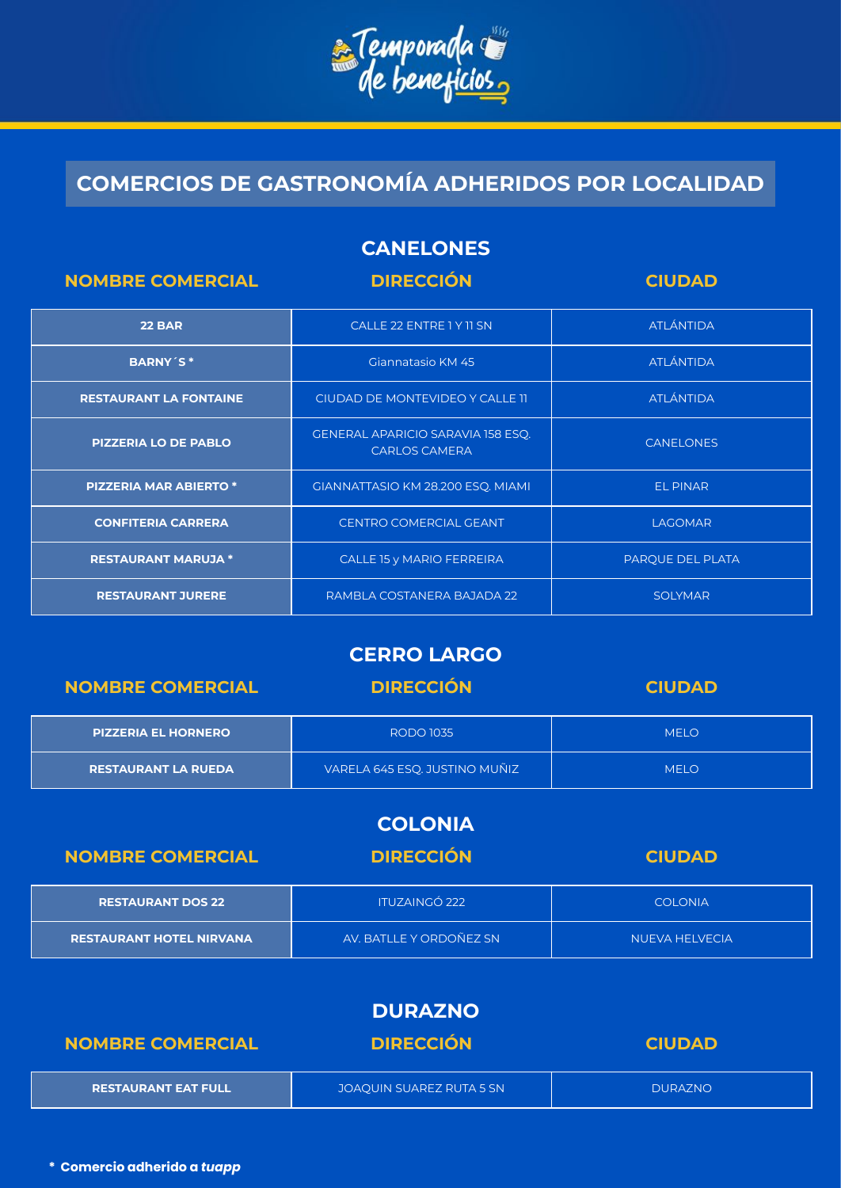

## **COMERCIOS DE GASTRONOMÍA ADHERIDOS POR LOCALIDAD**

| <b>CANELONES</b> |  |
|------------------|--|
|                  |  |

| <b>NOMBRE COMERCIAL</b>       | <b>DIRECCIÓN</b>                                                 | <b>CIUDAD</b>    |
|-------------------------------|------------------------------------------------------------------|------------------|
| <b>22 BAR</b>                 | CALLE 22 ENTRE 1 Y 11 SN                                         | <b>ATLÁNTIDA</b> |
| <b>BARNY'S*</b>               | Giannatasio KM 45                                                | <b>ATLÁNTIDA</b> |
| <b>RESTAURANT LA FONTAINE</b> | CIUDAD DE MONTEVIDEO Y CALLE 11                                  | <b>ATLÁNTIDA</b> |
| <b>PIZZERIA LO DE PABLO</b>   | <b>GENERAL APARICIO SARAVIA 158 ESQ.</b><br><b>CARLOS CAMERA</b> | <b>CANELONES</b> |
| <b>PIZZERIA MAR ABIERTO *</b> | GIANNATTASIO KM 28.200 ESQ. MIAMI                                | <b>EL PINAR</b>  |
| <b>CONFITERIA CARRERA</b>     | <b>CENTRO COMERCIAL GEANT</b>                                    | <b>LAGOMAR</b>   |
| <b>RESTAURANT MARUJA *</b>    | CALLE 15 y MARIO FERREIRA                                        | PARQUE DEL PLATA |
| <b>RESTAURANT JURERE</b>      | RAMBLA COSTANERA BAJADA 22                                       | <b>SOLYMAR</b>   |

### **CERRO LARGO**

| <b>NOMBRE COMERCIAL</b>    | <b>DIRECCIÓN</b>              | <b>CIUDAD</b> |
|----------------------------|-------------------------------|---------------|
| <b>PIZZERIA EL HORNERO</b> | <b>RODO 1035</b>              | <b>MELO</b>   |
| <b>RESTAURANT LA RUEDA</b> | VARELA 645 ESQ. JUSTINO MUÑIZ | <b>MELO</b>   |

#### **COLONIA**

| <b>NOMBRE COMERCIAL</b>         | <b>DIRECCIÓN</b>        | <b>CIUDAD</b>         |
|---------------------------------|-------------------------|-----------------------|
| <b>RESTAURANT DOS 22</b>        | <b>ITUZAINGÓ 222</b>    | <b>COLONIA</b>        |
| <b>RESTAURANT HOTEL NIRVANA</b> | AV. BATLLE Y ORDOÑEZ SN | <b>NUEVA HELVECIA</b> |

#### **DURAZNO**

| <b>NOMBRE COMERCIAL</b>    | <b>DIRECCIÓN</b>         | <b>CIUDAD</b>  |
|----------------------------|--------------------------|----------------|
| <b>RESTAURANT EAT FULL</b> | JOAQUIN SUAREZ RUTA 5 SN | <b>DURAZNO</b> |

**\* Comercio adherido a** *tuapp*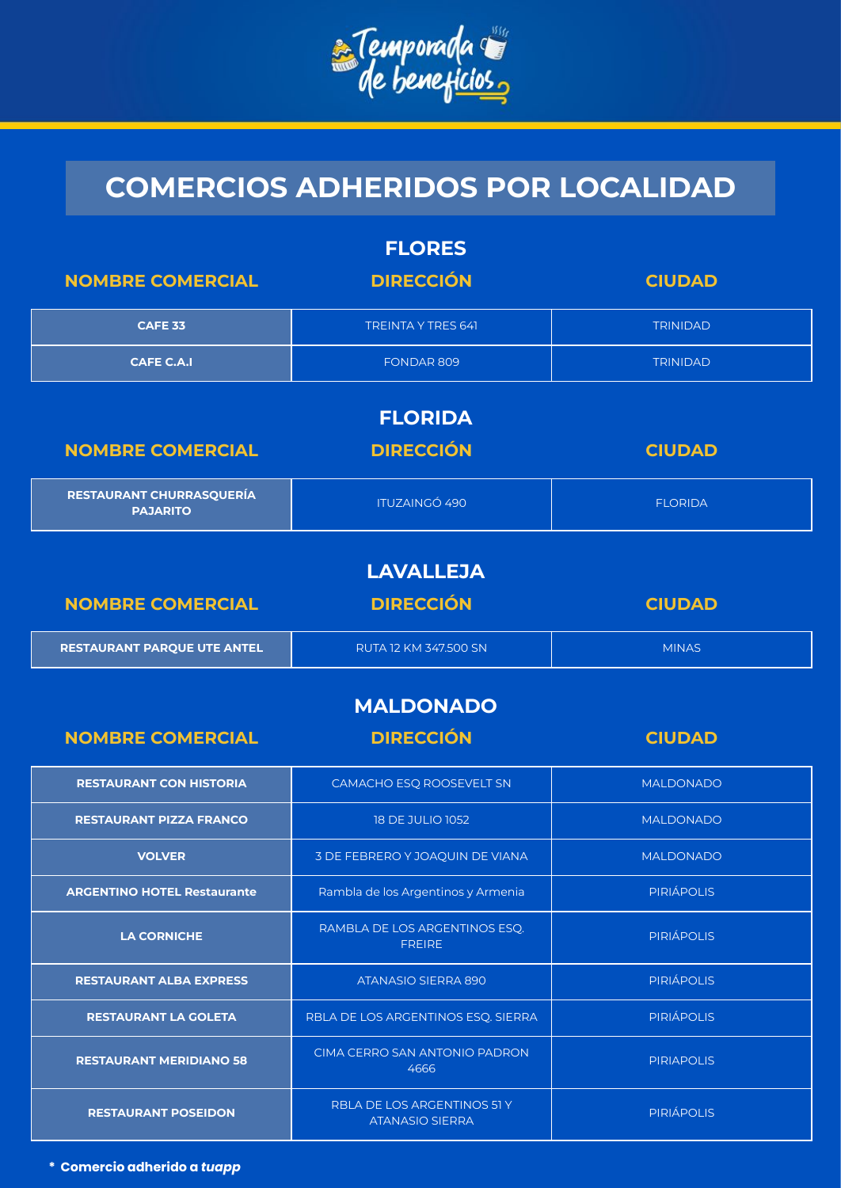

| <b>FLORES</b>                               |                                                |                   |
|---------------------------------------------|------------------------------------------------|-------------------|
| <b>NOMBRE COMERCIAL</b>                     | <b>DIRECCIÓN</b>                               | <b>CIUDAD</b>     |
| <b>CAFE 33</b>                              | <b>TREINTA Y TRES 641</b>                      | <b>TRINIDAD</b>   |
| <b>CAFE C.A.I</b>                           | FONDAR 809                                     | <b>TRINIDAD</b>   |
|                                             | <b>FLORIDA</b>                                 |                   |
| <b>NOMBRE COMERCIAL</b>                     | <b>DIRECCIÓN</b>                               | <b>CIUDAD</b>     |
| RESTAURANT CHURRASQUERÍA<br><b>PAJARITO</b> | <b>ITUZAINGÓ 490</b>                           | <b>FLORIDA</b>    |
|                                             | <b>LAVALLEJA</b>                               |                   |
| <b>NOMBRE COMERCIAL</b>                     | <b>DIRECCIÓN</b>                               | <b>CIUDAD</b>     |
| RESTAURANT PARQUE UTE ANTEL                 | RUTA 12 KM 347.500 SN                          | <b>MINAS</b>      |
|                                             |                                                |                   |
|                                             | <b>MALDONADO</b>                               |                   |
| <b>NOMBRE COMERCIAL</b>                     | <b>DIRECCIÓN</b>                               | <b>CIUDAD</b>     |
| <b>RESTAURANT CON HISTORIA</b>              | CAMACHO ESQ ROOSEVELT SN                       | <b>MALDONADO</b>  |
| <b>RESTAURANT PIZZA FRANCO</b>              | <b>18 DE JULIO 1052</b>                        | <b>MALDONADO</b>  |
| <b>VOLVER</b>                               | 3 DE FEBRERO Y JOAQUIN DE VIANA                | <b>MALDONADO</b>  |
| <b>ARGENTINO HOTEL Restaurante</b>          | Rambla de los Argentinos y Armenia             | <b>PIRIÁPOLIS</b> |
| <b>LA CORNICHE</b>                          | RAMBLA DE LOS ARGENTINOS ESQ.<br><b>FREIRE</b> | <b>PIRIÁPOLIS</b> |
| <b>RESTAURANT ALBA EXPRESS</b>              | ATANASIO SIERRA 890                            | <b>PIRIÁPOLIS</b> |
| <b>RESTAURANT LA GOLETA</b>                 | RBLA DE LOS ARGENTINOS ESQ. SIERRA             | <b>PIRIÁPOLIS</b> |
| <b>RESTAURANT MERIDIANO 58</b>              | CIMA CERRO SAN ANTONIO PADRON<br>4666          | <b>PIRIAPOLIS</b> |

**\* Comercio adherido a** *tuapp*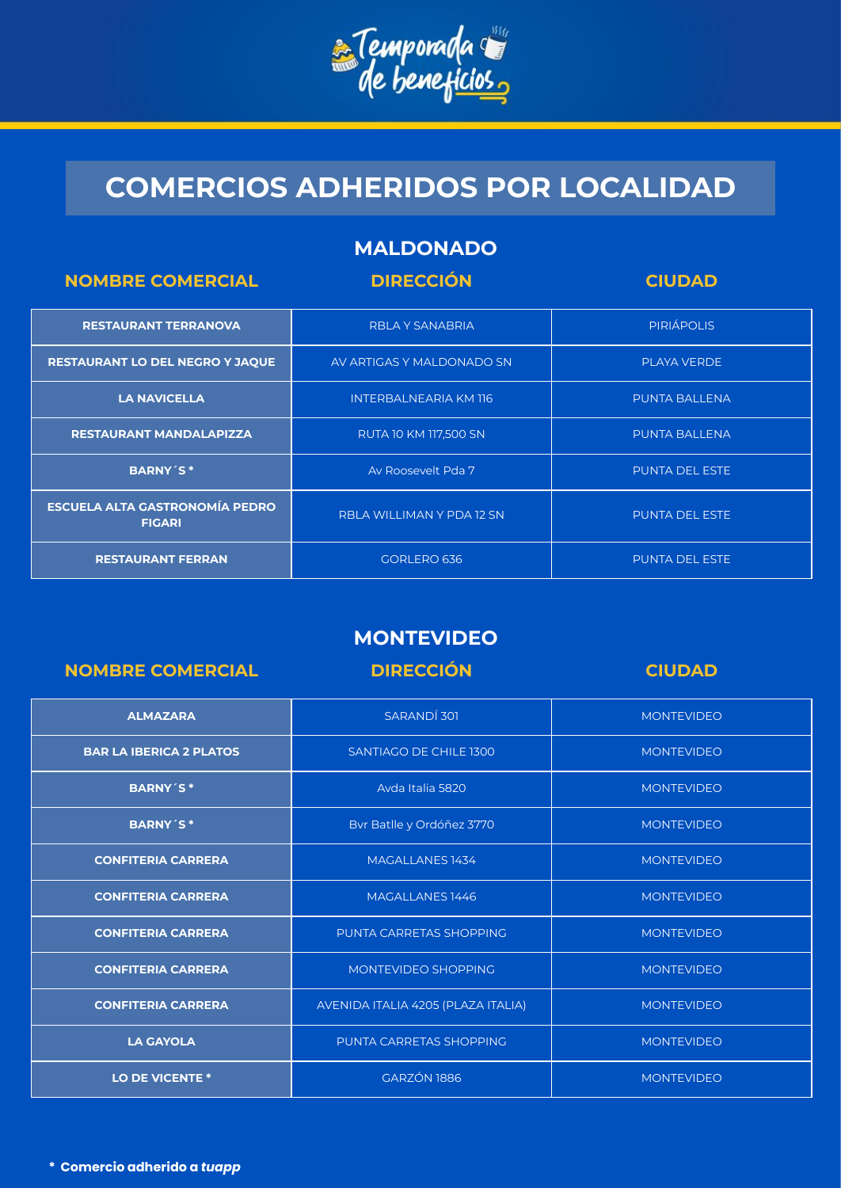

|  | <b>MALDONADO</b> |  |
|--|------------------|--|
|  |                  |  |
|  |                  |  |

| <b>NOMBRE COMERCIAL</b>                                | <b>DIRECCIÓN</b>             | <b>CIUDAD</b>         |
|--------------------------------------------------------|------------------------------|-----------------------|
| <b>RESTAURANT TERRANOVA</b>                            | <b>RBLA Y SANABRIA</b>       | <b>PIRIÁPOLIS</b>     |
| <b>RESTAURANT LO DEL NEGRO Y JAQUE</b>                 | AV ARTIGAS Y MALDONADO SN    | <b>PLAYA VERDE</b>    |
| <b>LA NAVICELLA</b>                                    | <b>INTERBALNEARIA KM 116</b> | <b>PUNTA BALLENA</b>  |
| <b>RESTAURANT MANDALAPIZZA</b>                         | RUTA 10 KM 117,500 SN        | <b>PUNTA BALLENA</b>  |
| <b>BARNY'S*</b>                                        | Av Roosevelt Pda 7           | <b>PUNTA DEL ESTE</b> |
| <b>ESCUELA ALTA GASTRONOMÍA PEDRO</b><br><b>FIGARI</b> | RBLA WILLIMAN Y PDA 12 SN    | <b>PUNTA DEL ESTE</b> |
| <b>RESTAURANT FERRAN</b>                               | GORLERO 636                  | <b>PUNTA DEL ESTE</b> |

### **MONTEVIDEO**

| <b>NOMBRE COMERCIAL</b>        | <b>DIRECCIÓN</b>                   | <b>CIUDAD</b>     |
|--------------------------------|------------------------------------|-------------------|
| <b>ALMAZARA</b>                | SARANDÍ 301                        | <b>MONTEVIDEO</b> |
| <b>BAR LA IBERICA 2 PLATOS</b> | SANTIAGO DE CHILE 1300             | <b>MONTEVIDEO</b> |
| <b>BARNY'S*</b>                | Avda Italia 5820                   | <b>MONTEVIDEO</b> |
| <b>BARNY'S*</b>                | Bvr Batlle y Ordóñez 3770          | <b>MONTEVIDEO</b> |
| <b>CONFITERIA CARRERA</b>      | MAGALLANES 1434                    | <b>MONTEVIDEO</b> |
| <b>CONFITERIA CARRERA</b>      | MAGALLANES 1446                    | <b>MONTEVIDEO</b> |
| <b>CONFITERIA CARRERA</b>      | PUNTA CARRETAS SHOPPING            | <b>MONTEVIDEO</b> |
| <b>CONFITERIA CARRERA</b>      | MONTEVIDEO SHOPPING                | <b>MONTEVIDEO</b> |
| <b>CONFITERIA CARRERA</b>      | AVENIDA ITALIA 4205 (PLAZA ITALIA) | <b>MONTEVIDEO</b> |
| <b>LA GAYOLA</b>               | PUNTA CARRETAS SHOPPING            | <b>MONTEVIDEO</b> |
| <b>LO DE VICENTE *</b>         | GARZÓN 1886                        | <b>MONTEVIDEO</b> |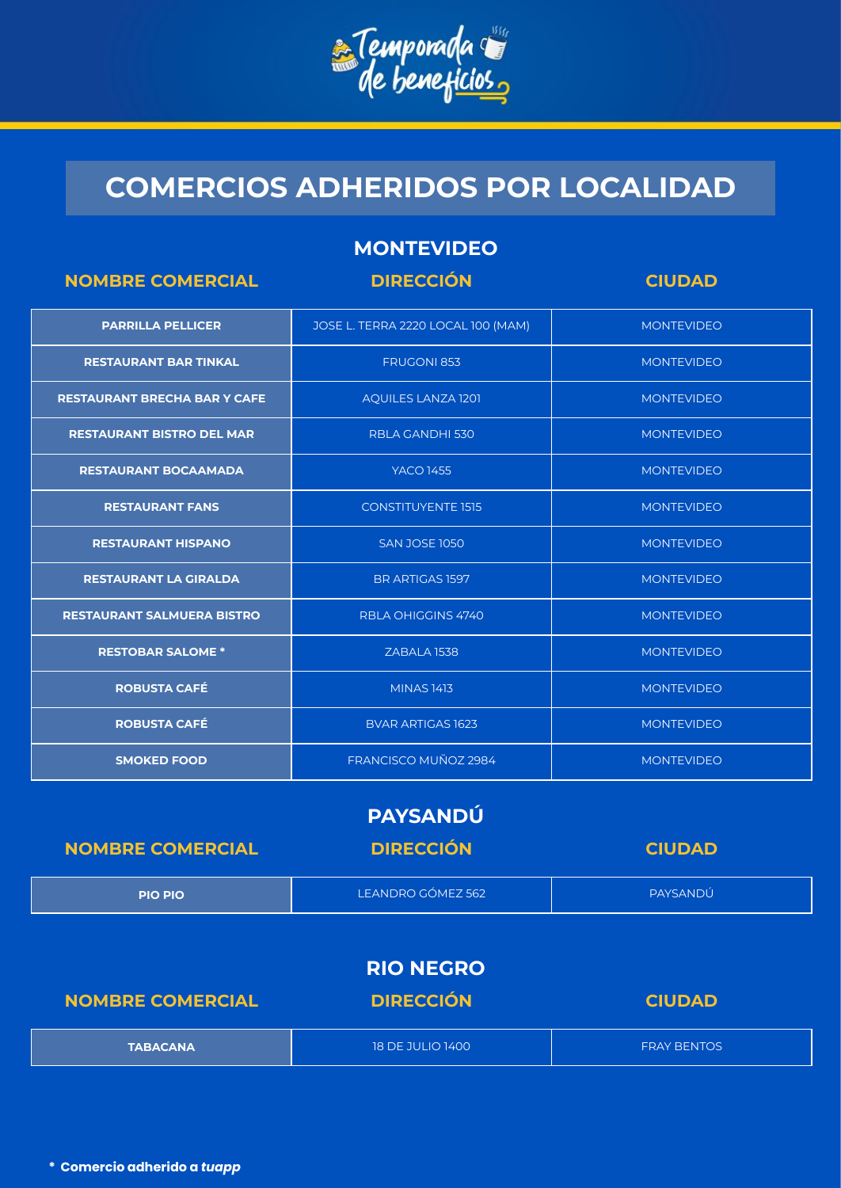

#### **MONTEVIDEO**

| <b>NOMBRE COMERCIAL</b>             | <b>DIRECCIÓN</b>                   | <b>CIUDAD</b>     |
|-------------------------------------|------------------------------------|-------------------|
| <b>PARRILLA PELLICER</b>            | JOSE L. TERRA 2220 LOCAL 100 (MAM) | <b>MONTEVIDEO</b> |
| <b>RESTAURANT BAR TINKAL</b>        | <b>FRUGONI 853</b>                 | <b>MONTEVIDEO</b> |
| <b>RESTAURANT BRECHA BAR Y CAFE</b> | <b>AQUILES LANZA 1201</b>          | <b>MONTEVIDEO</b> |
| <b>RESTAURANT BISTRO DEL MAR</b>    | RBLA GANDHI 530                    | <b>MONTEVIDEO</b> |
| <b>RESTAURANT BOCAAMADA</b>         | <b>YACO 1455</b>                   | <b>MONTEVIDEO</b> |
| <b>RESTAURANT FANS</b>              | <b>CONSTITUYENTE 1515</b>          | <b>MONTEVIDEO</b> |
| <b>RESTAURANT HISPANO</b>           | <b>SAN JOSE 1050</b>               | <b>MONTEVIDEO</b> |
| <b>RESTAURANT LA GIRALDA</b>        | <b>BR ARTIGAS 1597</b>             | <b>MONTEVIDEO</b> |
| <b>RESTAURANT SALMUERA BISTRO</b>   | <b>RBLA OHIGGINS 4740</b>          | <b>MONTEVIDEO</b> |
| <b>RESTOBAR SALOME *</b>            | ZABALA 1538                        | <b>MONTEVIDEO</b> |
| <b>ROBUSTA CAFÉ</b>                 | <b>MINAS 1413</b>                  | <b>MONTEVIDEO</b> |
| <b>ROBUSTA CAFÉ</b>                 | <b>BVAR ARTIGAS 1623</b>           | <b>MONTEVIDEO</b> |
| <b>SMOKED FOOD</b>                  | FRANCISCO MUÑOZ 2984               | <b>MONTEVIDEO</b> |

#### **PAYSANDÚ**

| <b>NOMBRE COMERCIAL</b> | <b>DIRECCIÓN</b>  | <b>CIUDAD</b> |
|-------------------------|-------------------|---------------|
| <b>PIO PIO</b>          | LEANDRO GÓMEZ 562 | PAYSANDÚ      |
|                         | <b>RIO NEGRO</b>  |               |

| <b>NOMBRE COMERCIAL</b> | <b>DIRECCIÓN</b>        | <b>CIUDAD</b>      |
|-------------------------|-------------------------|--------------------|
| <b>TABACANA</b>         | <b>18 DE JULIO 1400</b> | <b>FRAY BENTOS</b> |